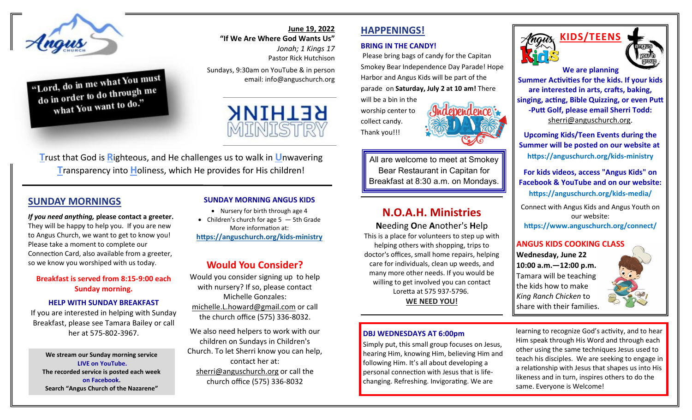

"Lord, do in me what You must  $\frac{1}{100}$  to m the what to do through me what You want to do."

#### **June 19, 2022 "If We Are Where God Wants Us"**

*Jonah; 1 Kings 17* Pastor Rick Hutchison

Sundays, 9:30am on YouTube & in person email: info@anguschurch.org



**T**rust that God is **R**ighteous, and He challenges us to walk in **U**nwavering **T**ransparency into **H**oliness, which He provides for His children!

#### **SUNDAY MORNINGS**

*If you need anything,* **please contact a greeter.**  They will be happy to help you. If you are new to Angus Church, we want to get to know you! Please take a moment to complete our Connection Card, also available from a greeter, so we know you worshiped with us today.

#### **Breakfast is served from 8:15-9:00 each Sunday morning.**

#### **HELP WITH SUNDAY BREAKFAST**

If you are interested in helping with Sunday Breakfast, please see Tamara Bailey or call her at 575-802-3967.

**We stream our Sunday morning service LIVE on YouTube. The recorded service is posted each week on Facebook. Search "Angus Church of the Nazarene"**

#### **SUNDAY MORNING ANGUS KIDS**

- Nursery for birth through age 4
- Children's church for age  $5 5$ th Grade More information at: **[https://anguschurch.org/kids](https://anguschurch.org/kids-ministry)-ministry**

#### **Would You Consider?**

Would you consider signing up to help with nursery? If so, please contact Michelle Gonzales: [michelle.L.howard@gmail.com](mailto:michelle.L.howard@gmail.com) or call the church office (575) 336-8032.

We also need helpers to work with our children on Sundays in Children's Church. To let Sherri know you can help, contact her at: [sherri@anguschurch.org](mailto:sherri@anguschurch.org) or call the church office (575) 336-8032

# **HAPPENINGS!**

#### **BRING IN THE CANDY!**

Please bring bags of candy for the Capitan Smokey Bear Independence Day Parade! Hope Harbor and Angus Kids will be part of the parade on **Saturday, July 2 at 10 am!** There will be a bin in the

worship center to collect candy. Thank you!!!



# **N.O.A.H. Ministries**

**N**eeding **O**ne **A**nother's **H**elp This is a place for volunteers to step up with helping others with shopping, trips to doctor's offices, small home repairs, helping care for individuals, clean up weeds, and many more other needs. If you would be willing to get involved you can contact Loretta at 575 937-5796. **WE NEED YOU!**

#### **DBJ WEDNESDAYS AT 6:00pm**

Simply put, this small group focuses on Jesus, hearing Him, knowing Him, believing Him and following Him. It's all about developing a personal connection with Jesus that is lifechanging. Refreshing. Invigorating. We are



**Summer Activities for the kids. If your kids are interested in arts, crafts, baking, singing, acting, Bible Quizzing, or even Putt -Putt Golf, please email Sherri Todd:**  [sherri@anguschurch.org.](mailto:sherri@anguschurch.org)

**Upcoming Kids/Teen Events during the Summer will be posted on our website at [https://anguschurch.org/kids](https://anguschurch.org/kids-ministry)-ministry** 

#### **For kids videos, access "Angus Kids" on Facebook & YouTube and on our website:**

**https://anguschurch.org/kids-media/**

Connect with Angus Kids and Angus Youth on our website: **https://www.anguschurch.org/connect/**

#### **ANGUS KIDS COOKING CLASS**

**Wednesday, June 22 10:00 a.m.—12:00 p.m.**  Tamara will be teaching the kids how to make *King Ranch Chicken* to share with their families.



learning to recognize God's activity, and to hear Him speak through His Word and through each other using the same techniques Jesus used to teach his disciples. We are seeking to engage in a relationship with Jesus that shapes us into His likeness and in turn, inspires others to do the same. Everyone is Welcome!